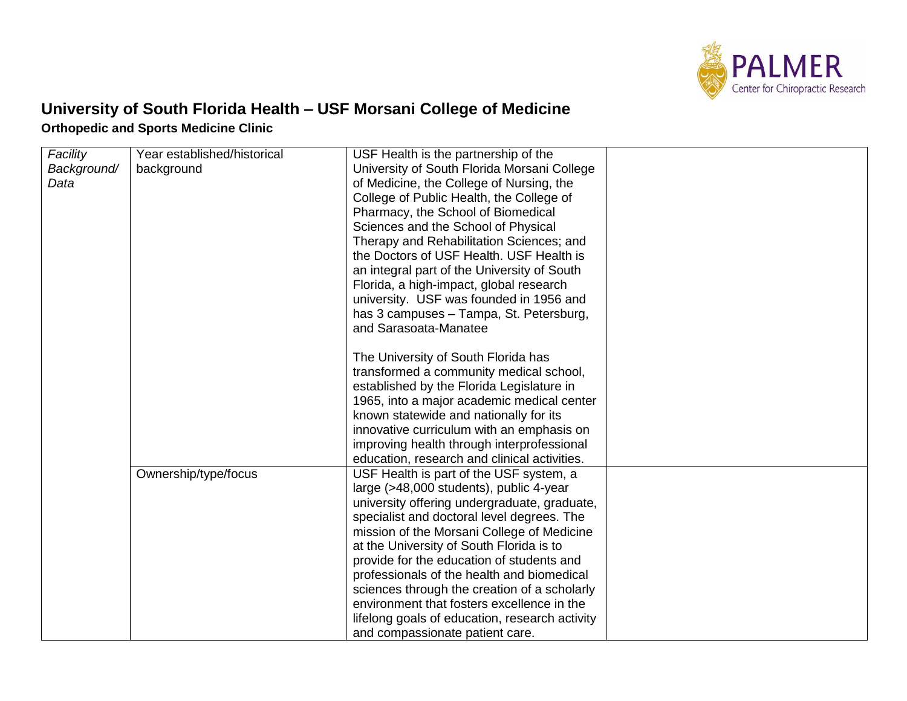

## **University of South Florida Health – USF Morsani College of Medicine Orthopedic and Sports Medicine Clinic**

| Facility    | Year established/historical | USF Health is the partnership of the           |  |
|-------------|-----------------------------|------------------------------------------------|--|
| Background/ | background                  | University of South Florida Morsani College    |  |
| Data        |                             | of Medicine, the College of Nursing, the       |  |
|             |                             | College of Public Health, the College of       |  |
|             |                             | Pharmacy, the School of Biomedical             |  |
|             |                             | Sciences and the School of Physical            |  |
|             |                             | Therapy and Rehabilitation Sciences; and       |  |
|             |                             | the Doctors of USF Health. USF Health is       |  |
|             |                             | an integral part of the University of South    |  |
|             |                             | Florida, a high-impact, global research        |  |
|             |                             | university. USF was founded in 1956 and        |  |
|             |                             | has 3 campuses - Tampa, St. Petersburg,        |  |
|             |                             | and Sarasoata-Manatee                          |  |
|             |                             |                                                |  |
|             |                             | The University of South Florida has            |  |
|             |                             | transformed a community medical school,        |  |
|             |                             | established by the Florida Legislature in      |  |
|             |                             | 1965, into a major academic medical center     |  |
|             |                             | known statewide and nationally for its         |  |
|             |                             | innovative curriculum with an emphasis on      |  |
|             |                             | improving health through interprofessional     |  |
|             |                             | education, research and clinical activities.   |  |
|             | Ownership/type/focus        | USF Health is part of the USF system, a        |  |
|             |                             | large (>48,000 students), public 4-year        |  |
|             |                             | university offering undergraduate, graduate,   |  |
|             |                             | specialist and doctoral level degrees. The     |  |
|             |                             | mission of the Morsani College of Medicine     |  |
|             |                             | at the University of South Florida is to       |  |
|             |                             | provide for the education of students and      |  |
|             |                             | professionals of the health and biomedical     |  |
|             |                             | sciences through the creation of a scholarly   |  |
|             |                             | environment that fosters excellence in the     |  |
|             |                             | lifelong goals of education, research activity |  |
|             |                             | and compassionate patient care.                |  |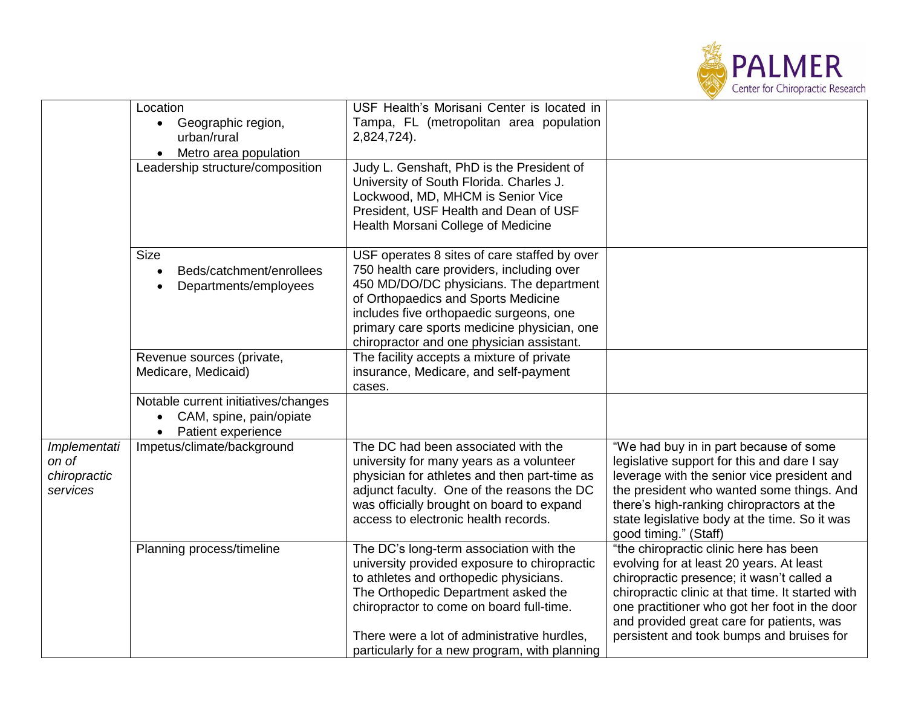

|                                                   | Location                                                                                          | USF Health's Morisani Center is located in                                                                                                                                                                                                                                                                           |                                                                                                                                                                                                                                                                                                                                 |
|---------------------------------------------------|---------------------------------------------------------------------------------------------------|----------------------------------------------------------------------------------------------------------------------------------------------------------------------------------------------------------------------------------------------------------------------------------------------------------------------|---------------------------------------------------------------------------------------------------------------------------------------------------------------------------------------------------------------------------------------------------------------------------------------------------------------------------------|
|                                                   | • Geographic region,<br>urban/rural                                                               | Tampa, FL (metropolitan area population<br>2,824,724).                                                                                                                                                                                                                                                               |                                                                                                                                                                                                                                                                                                                                 |
|                                                   | Metro area population                                                                             |                                                                                                                                                                                                                                                                                                                      |                                                                                                                                                                                                                                                                                                                                 |
|                                                   | Leadership structure/composition                                                                  | Judy L. Genshaft, PhD is the President of<br>University of South Florida. Charles J.<br>Lockwood, MD, MHCM is Senior Vice<br>President, USF Health and Dean of USF<br>Health Morsani College of Medicine                                                                                                             |                                                                                                                                                                                                                                                                                                                                 |
|                                                   | <b>Size</b><br>Beds/catchment/enrollees<br>Departments/employees                                  | USF operates 8 sites of care staffed by over<br>750 health care providers, including over<br>450 MD/DO/DC physicians. The department<br>of Orthopaedics and Sports Medicine<br>includes five orthopaedic surgeons, one<br>primary care sports medicine physician, one<br>chiropractor and one physician assistant.   |                                                                                                                                                                                                                                                                                                                                 |
|                                                   | Revenue sources (private,<br>Medicare, Medicaid)                                                  | The facility accepts a mixture of private<br>insurance, Medicare, and self-payment<br>cases.                                                                                                                                                                                                                         |                                                                                                                                                                                                                                                                                                                                 |
|                                                   | Notable current initiatives/changes<br>CAM, spine, pain/opiate<br>Patient experience<br>$\bullet$ |                                                                                                                                                                                                                                                                                                                      |                                                                                                                                                                                                                                                                                                                                 |
| Implementati<br>on of<br>chiropractic<br>services | Impetus/climate/background                                                                        | The DC had been associated with the<br>university for many years as a volunteer<br>physician for athletes and then part-time as<br>adjunct faculty. One of the reasons the DC<br>was officially brought on board to expand<br>access to electronic health records.                                                   | "We had buy in in part because of some<br>legislative support for this and dare I say<br>leverage with the senior vice president and<br>the president who wanted some things. And<br>there's high-ranking chiropractors at the<br>state legislative body at the time. So it was<br>good timing." (Staff)                        |
|                                                   | Planning process/timeline                                                                         | The DC's long-term association with the<br>university provided exposure to chiropractic<br>to athletes and orthopedic physicians.<br>The Orthopedic Department asked the<br>chiropractor to come on board full-time.<br>There were a lot of administrative hurdles,<br>particularly for a new program, with planning | "the chiropractic clinic here has been<br>evolving for at least 20 years. At least<br>chiropractic presence; it wasn't called a<br>chiropractic clinic at that time. It started with<br>one practitioner who got her foot in the door<br>and provided great care for patients, was<br>persistent and took bumps and bruises for |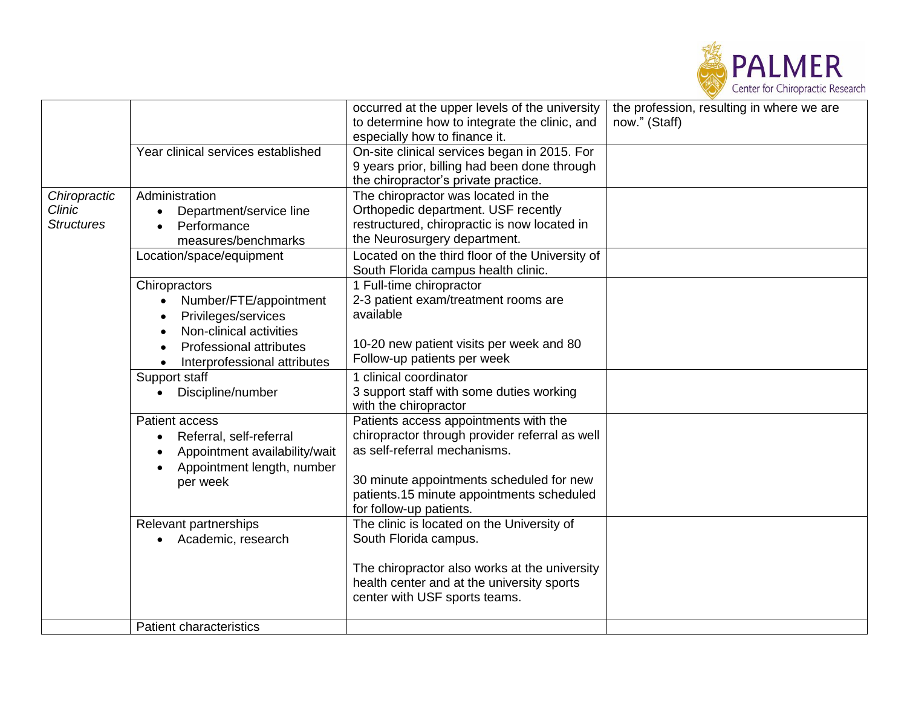

|                   |                                      | occurred at the upper levels of the university  | the profession, resulting in where we are |
|-------------------|--------------------------------------|-------------------------------------------------|-------------------------------------------|
|                   |                                      | to determine how to integrate the clinic, and   | now." (Staff)                             |
|                   |                                      | especially how to finance it.                   |                                           |
|                   | Year clinical services established   | On-site clinical services began in 2015. For    |                                           |
|                   |                                      | 9 years prior, billing had been done through    |                                           |
|                   |                                      | the chiropractor's private practice.            |                                           |
| Chiropractic      | Administration                       | The chiropractor was located in the             |                                           |
| <b>Clinic</b>     | Department/service line<br>$\bullet$ | Orthopedic department. USF recently             |                                           |
| <b>Structures</b> | Performance                          | restructured, chiropractic is now located in    |                                           |
|                   | measures/benchmarks                  | the Neurosurgery department.                    |                                           |
|                   | Location/space/equipment             | Located on the third floor of the University of |                                           |
|                   |                                      | South Florida campus health clinic.             |                                           |
|                   | Chiropractors                        | 1 Full-time chiropractor                        |                                           |
|                   | Number/FTE/appointment               | 2-3 patient exam/treatment rooms are            |                                           |
|                   | Privileges/services                  | available                                       |                                           |
|                   | Non-clinical activities              |                                                 |                                           |
|                   | <b>Professional attributes</b>       | 10-20 new patient visits per week and 80        |                                           |
|                   | Interprofessional attributes         | Follow-up patients per week                     |                                           |
|                   | Support staff                        | 1 clinical coordinator                          |                                           |
|                   | Discipline/number                    | 3 support staff with some duties working        |                                           |
|                   |                                      | with the chiropractor                           |                                           |
|                   | <b>Patient access</b>                | Patients access appointments with the           |                                           |
|                   | Referral, self-referral              | chiropractor through provider referral as well  |                                           |
|                   | Appointment availability/wait        | as self-referral mechanisms.                    |                                           |
|                   | Appointment length, number           |                                                 |                                           |
|                   | per week                             | 30 minute appointments scheduled for new        |                                           |
|                   |                                      | patients.15 minute appointments scheduled       |                                           |
|                   |                                      | for follow-up patients.                         |                                           |
|                   | Relevant partnerships                | The clinic is located on the University of      |                                           |
|                   | Academic, research                   | South Florida campus.                           |                                           |
|                   |                                      |                                                 |                                           |
|                   |                                      | The chiropractor also works at the university   |                                           |
|                   |                                      | health center and at the university sports      |                                           |
|                   |                                      | center with USF sports teams.                   |                                           |
|                   |                                      |                                                 |                                           |
|                   | <b>Patient characteristics</b>       |                                                 |                                           |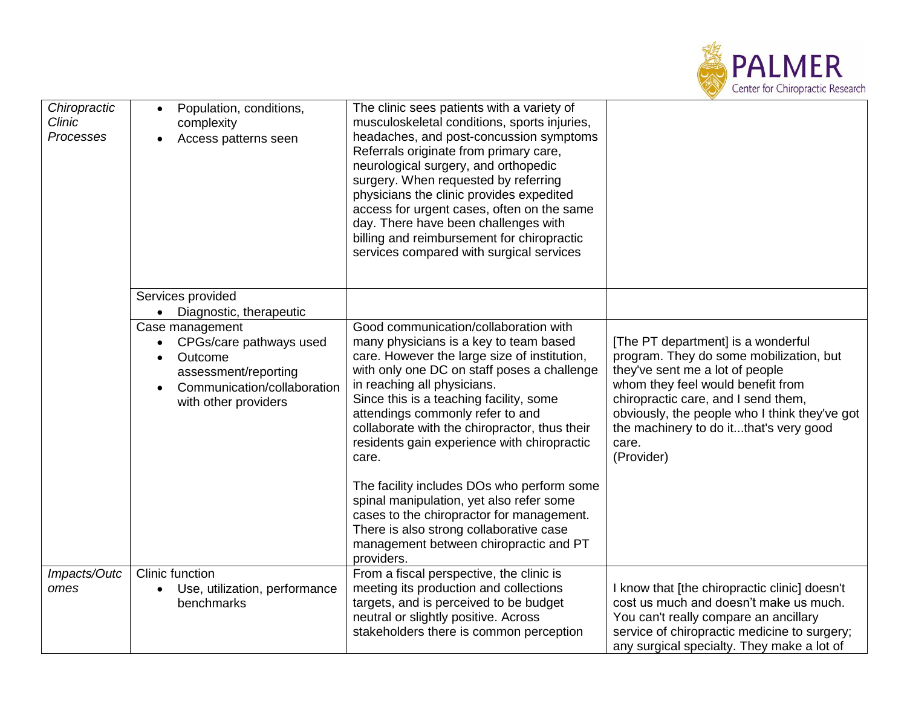

| Chiropractic<br>Clinic<br>Processes | Population, conditions,<br>$\bullet$<br>complexity<br>Access patterns seen                                        | The clinic sees patients with a variety of<br>musculoskeletal conditions, sports injuries,<br>headaches, and post-concussion symptoms<br>Referrals originate from primary care,<br>neurological surgery, and orthopedic<br>surgery. When requested by referring<br>physicians the clinic provides expedited<br>access for urgent cases, often on the same<br>day. There have been challenges with<br>billing and reimbursement for chiropractic<br>services compared with surgical services         |                                                                                                                                                                                                                                                                                                                |
|-------------------------------------|-------------------------------------------------------------------------------------------------------------------|-----------------------------------------------------------------------------------------------------------------------------------------------------------------------------------------------------------------------------------------------------------------------------------------------------------------------------------------------------------------------------------------------------------------------------------------------------------------------------------------------------|----------------------------------------------------------------------------------------------------------------------------------------------------------------------------------------------------------------------------------------------------------------------------------------------------------------|
|                                     | Services provided                                                                                                 |                                                                                                                                                                                                                                                                                                                                                                                                                                                                                                     |                                                                                                                                                                                                                                                                                                                |
|                                     | Diagnostic, therapeutic                                                                                           |                                                                                                                                                                                                                                                                                                                                                                                                                                                                                                     |                                                                                                                                                                                                                                                                                                                |
|                                     | Case management                                                                                                   | Good communication/collaboration with                                                                                                                                                                                                                                                                                                                                                                                                                                                               |                                                                                                                                                                                                                                                                                                                |
|                                     | CPGs/care pathways used<br>Outcome<br>assessment/reporting<br>Communication/collaboration<br>with other providers | many physicians is a key to team based<br>care. However the large size of institution,<br>with only one DC on staff poses a challenge<br>in reaching all physicians.<br>Since this is a teaching facility, some<br>attendings commonly refer to and<br>collaborate with the chiropractor, thus their<br>residents gain experience with chiropractic<br>care.<br>The facility includes DOs who perform some<br>spinal manipulation, yet also refer some<br>cases to the chiropractor for management. | [The PT department] is a wonderful<br>program. They do some mobilization, but<br>they've sent me a lot of people<br>whom they feel would benefit from<br>chiropractic care, and I send them,<br>obviously, the people who I think they've got<br>the machinery to do itthat's very good<br>care.<br>(Provider) |
|                                     |                                                                                                                   | There is also strong collaborative case<br>management between chiropractic and PT<br>providers.                                                                                                                                                                                                                                                                                                                                                                                                     |                                                                                                                                                                                                                                                                                                                |
| Impacts/Outc<br>omes                | Clinic function<br>Use, utilization, performance<br>benchmarks                                                    | From a fiscal perspective, the clinic is<br>meeting its production and collections<br>targets, and is perceived to be budget<br>neutral or slightly positive. Across<br>stakeholders there is common perception                                                                                                                                                                                                                                                                                     | I know that [the chiropractic clinic] doesn't<br>cost us much and doesn't make us much.<br>You can't really compare an ancillary<br>service of chiropractic medicine to surgery;<br>any surgical specialty. They make a lot of                                                                                 |